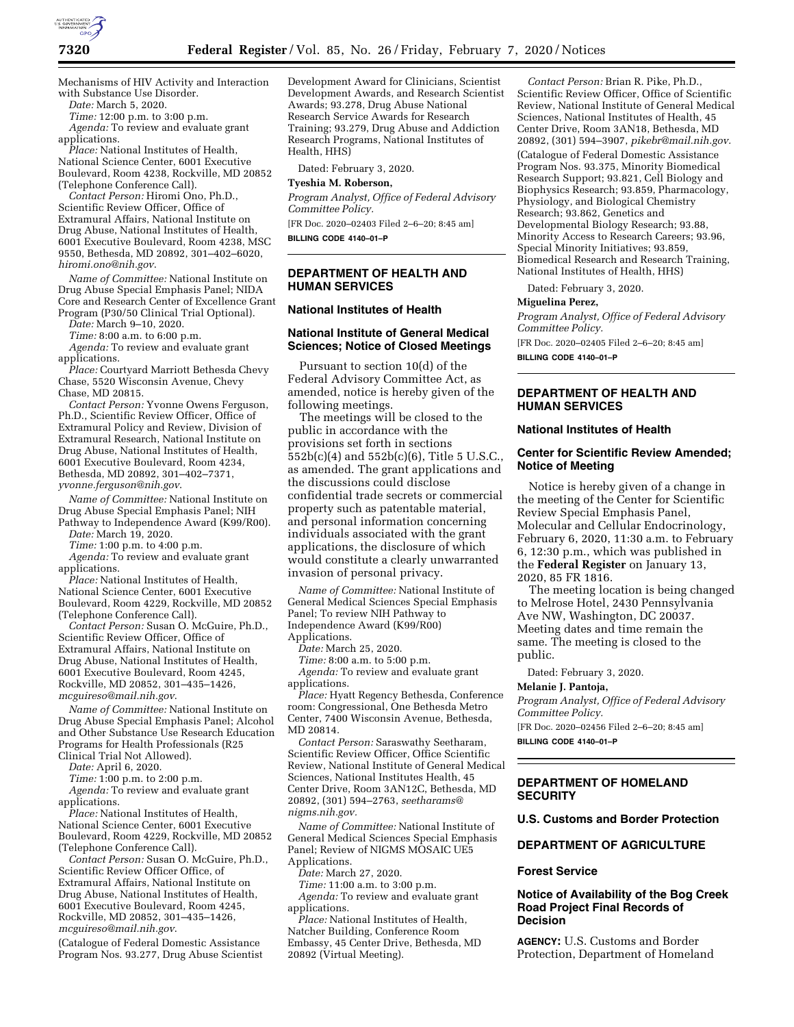

Mechanisms of HIV Activity and Interaction with Substance Use Disorder.

*Date:* March 5, 2020.

*Time:* 12:00 p.m. to 3:00 p.m. *Agenda:* To review and evaluate grant applications.

*Place:* National Institutes of Health, National Science Center, 6001 Executive Boulevard, Room 4238, Rockville, MD 20852 (Telephone Conference Call).

*Contact Person:* Hiromi Ono, Ph.D., Scientific Review Officer, Office of Extramural Affairs, National Institute on Drug Abuse, National Institutes of Health, 6001 Executive Boulevard, Room 4238, MSC 9550, Bethesda, MD 20892, 301–402–6020, *[hiromi.ono@nih.gov](mailto:hiromi.ono@nih.gov)*.

*Name of Committee:* National Institute on Drug Abuse Special Emphasis Panel; NIDA Core and Research Center of Excellence Grant Program (P30/50 Clinical Trial Optional).

*Date:* March 9–10, 2020.

*Time:* 8:00 a.m. to 6:00 p.m.

*Agenda:* To review and evaluate grant applications.

*Place:* Courtyard Marriott Bethesda Chevy Chase, 5520 Wisconsin Avenue, Chevy Chase, MD 20815.

*Contact Person:* Yvonne Owens Ferguson, Ph.D., Scientific Review Officer, Office of Extramural Policy and Review, Division of Extramural Research, National Institute on Drug Abuse, National Institutes of Health, 6001 Executive Boulevard, Room 4234, Bethesda, MD 20892, 301–402–7371, *[yvonne.ferguson@nih.gov](mailto:yvonne.ferguson@nih.gov)*.

*Name of Committee:* National Institute on Drug Abuse Special Emphasis Panel; NIH Pathway to Independence Award (K99/R00).

*Date:* March 19, 2020.

*Time:* 1:00 p.m. to 4:00 p.m.

*Agenda:* To review and evaluate grant applications.

*Place:* National Institutes of Health, National Science Center, 6001 Executive Boulevard, Room 4229, Rockville, MD 20852 (Telephone Conference Call).

*Contact Person:* Susan O. McGuire, Ph.D., Scientific Review Officer, Office of Extramural Affairs, National Institute on Drug Abuse, National Institutes of Health, 6001 Executive Boulevard, Room 4245, Rockville, MD 20852, 301–435–1426, *[mcguireso@mail.nih.gov](mailto:mcguireso@mail.nih.gov)*.

*Name of Committee:* National Institute on Drug Abuse Special Emphasis Panel; Alcohol and Other Substance Use Research Education Programs for Health Professionals (R25 Clinical Trial Not Allowed).

*Date:* April 6, 2020.

*Time:* 1:00 p.m. to 2:00 p.m.

*Agenda:* To review and evaluate grant applications.

*Place:* National Institutes of Health, National Science Center, 6001 Executive Boulevard, Room 4229, Rockville, MD 20852 (Telephone Conference Call).

*Contact Person:* Susan O. McGuire, Ph.D., Scientific Review Officer Office, of Extramural Affairs, National Institute on Drug Abuse, National Institutes of Health, 6001 Executive Boulevard, Room 4245, Rockville, MD 20852, 301–435–1426, *[mcguireso@mail.nih.gov](mailto:mcguireso@mail.nih.gov)*.

(Catalogue of Federal Domestic Assistance Program Nos. 93.277, Drug Abuse Scientist Development Award for Clinicians, Scientist Development Awards, and Research Scientist Awards; 93.278, Drug Abuse National Research Service Awards for Research Training; 93.279, Drug Abuse and Addiction Research Programs, National Institutes of Health, HHS)

Dated: February 3, 2020.

### **Tyeshia M. Roberson,**

*Program Analyst, Office of Federal Advisory Committee Policy.* 

[FR Doc. 2020–02403 Filed 2–6–20; 8:45 am] **BILLING CODE 4140–01–P** 

## **DEPARTMENT OF HEALTH AND HUMAN SERVICES**

# **National Institutes of Health**

## **National Institute of General Medical Sciences; Notice of Closed Meetings**

Pursuant to section 10(d) of the Federal Advisory Committee Act, as amended, notice is hereby given of the following meetings.

The meetings will be closed to the public in accordance with the provisions set forth in sections 552b(c)(4) and 552b(c)(6), Title 5 U.S.C., as amended. The grant applications and the discussions could disclose confidential trade secrets or commercial property such as patentable material, and personal information concerning individuals associated with the grant applications, the disclosure of which would constitute a clearly unwarranted invasion of personal privacy.

*Name of Committee:* National Institute of General Medical Sciences Special Emphasis Panel; To review NIH Pathway to Independence Award (K99/R00) Applications.

*Date:* March 25, 2020.

*Time:* 8:00 a.m. to 5:00 p.m.

*Agenda:* To review and evaluate grant applications.

*Place:* Hyatt Regency Bethesda, Conference room: Congressional, One Bethesda Metro Center, 7400 Wisconsin Avenue, Bethesda, MD 20814.

*Contact Person:* Saraswathy Seetharam, Scientific Review Officer, Office Scientific Review, National Institute of General Medical Sciences, National Institutes Health, 45 Center Drive, Room 3AN12C, Bethesda, MD 20892, (301) 594–2763, *[seetharams@](mailto:seetharams@nigms.nih.gov) [nigms.nih.gov.](mailto:seetharams@nigms.nih.gov)* 

*Name of Committee:* National Institute of General Medical Sciences Special Emphasis Panel; Review of NIGMS MOSAIC UE5 Applications.

*Date:* March 27, 2020.

*Time:* 11:00 a.m. to 3:00 p.m.

*Agenda:* To review and evaluate grant applications.

*Place:* National Institutes of Health, Natcher Building, Conference Room Embassy, 45 Center Drive, Bethesda, MD 20892 (Virtual Meeting).

*Contact Person:* Brian R. Pike, Ph.D., Scientific Review Officer, Office of Scientific Review, National Institute of General Medical Sciences, National Institutes of Health, 45 Center Drive, Room 3AN18, Bethesda, MD 20892, (301) 594–3907, *[pikebr@mail.nih.gov.](mailto:pikebr@mail.nih.gov)* 

(Catalogue of Federal Domestic Assistance Program Nos. 93.375, Minority Biomedical Research Support; 93.821, Cell Biology and Biophysics Research; 93.859, Pharmacology, Physiology, and Biological Chemistry Research; 93.862, Genetics and Developmental Biology Research; 93.88, Minority Access to Research Careers; 93.96, Special Minority Initiatives; 93.859, Biomedical Research and Research Training, National Institutes of Health, HHS)

Dated: February 3, 2020.

#### **Miguelina Perez,**

*Program Analyst, Office of Federal Advisory Committee Policy.* 

[FR Doc. 2020–02405 Filed 2–6–20; 8:45 am] **BILLING CODE 4140–01–P** 

# **DEPARTMENT OF HEALTH AND HUMAN SERVICES**

### **National Institutes of Health**

## **Center for Scientific Review Amended; Notice of Meeting**

Notice is hereby given of a change in the meeting of the Center for Scientific Review Special Emphasis Panel, Molecular and Cellular Endocrinology, February 6, 2020, 11:30 a.m. to February 6, 12:30 p.m., which was published in the **Federal Register** on January 13, 2020, 85 FR 1816.

The meeting location is being changed to Melrose Hotel, 2430 Pennsylvania Ave NW, Washington, DC 20037. Meeting dates and time remain the same. The meeting is closed to the public.

Dated: February 3, 2020.

### **Melanie J. Pantoja,**

*Program Analyst, Office of Federal Advisory Committee Policy.* 

[FR Doc. 2020–02456 Filed 2–6–20; 8:45 am]

**BILLING CODE 4140–01–P** 

# **DEPARTMENT OF HOMELAND SECURITY**

**U.S. Customs and Border Protection** 

### **DEPARTMENT OF AGRICULTURE**

### **Forest Service**

# **Notice of Availability of the Bog Creek Road Project Final Records of Decision**

**AGENCY:** U.S. Customs and Border Protection, Department of Homeland